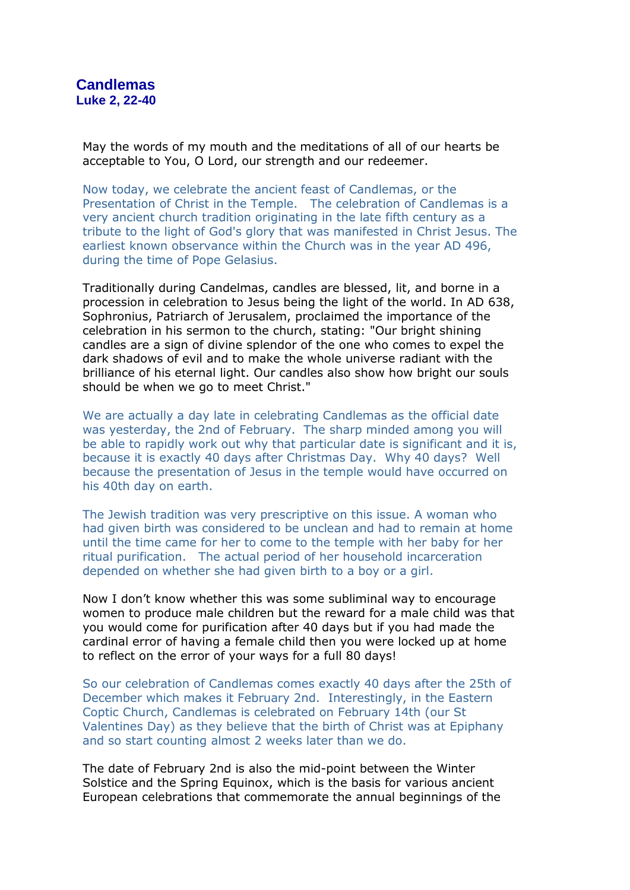May the words of my mouth and the meditations of all of our hearts be acceptable to You, O Lord, our strength and our redeemer.

Now today, we celebrate the ancient feast of Candlemas, or the Presentation of Christ in the Temple. The celebration of Candlemas is a very ancient church tradition originating in the late fifth century as a tribute to the light of God's glory that was manifested in Christ Jesus. The earliest known observance within the Church was in the year AD 496, during the time of Pope Gelasius.

Traditionally during Candelmas, candles are blessed, lit, and borne in a procession in celebration to Jesus being the light of the world. In AD 638, Sophronius, Patriarch of Jerusalem, proclaimed the importance of the celebration in his sermon to the church, stating: "Our bright shining candles are a sign of divine splendor of the one who comes to expel the dark shadows of evil and to make the whole universe radiant with the brilliance of his eternal light. Our candles also show how bright our souls should be when we go to meet Christ."

We are actually a day late in celebrating Candlemas as the official date was yesterday, the 2nd of February. The sharp minded among you will be able to rapidly work out why that particular date is significant and it is, because it is exactly 40 days after Christmas Day. Why 40 days? Well because the presentation of Jesus in the temple would have occurred on his 40th day on earth.

The Jewish tradition was very prescriptive on this issue. A woman who had given birth was considered to be unclean and had to remain at home until the time came for her to come to the temple with her baby for her ritual purification. The actual period of her household incarceration depended on whether she had given birth to a boy or a girl.

Now I don't know whether this was some subliminal way to encourage women to produce male children but the reward for a male child was that you would come for purification after 40 days but if you had made the cardinal error of having a female child then you were locked up at home to reflect on the error of your ways for a full 80 days!

So our celebration of Candlemas comes exactly 40 days after the 25th of December which makes it February 2nd. Interestingly, in the Eastern Coptic Church, Candlemas is celebrated on February 14th (our St Valentines Day) as they believe that the birth of Christ was at Epiphany and so start counting almost 2 weeks later than we do.

The date of February 2nd is also the mid-point between the Winter Solstice and the Spring Equinox, which is the basis for various ancient European celebrations that commemorate the annual beginnings of the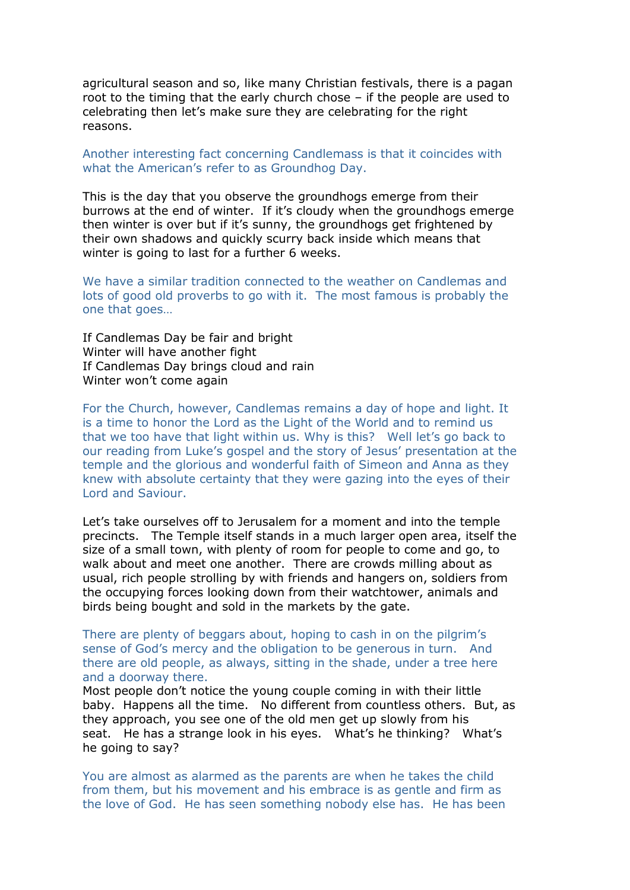agricultural season and so, like many Christian festivals, there is a pagan root to the timing that the early church chose – if the people are used to celebrating then let's make sure they are celebrating for the right reasons.

## Another interesting fact concerning Candlemass is that it coincides with what the American's refer to as Groundhog Day.

This is the day that you observe the groundhogs emerge from their burrows at the end of winter. If it's cloudy when the groundhogs emerge then winter is over but if it's sunny, the groundhogs get frightened by their own shadows and quickly scurry back inside which means that winter is going to last for a further 6 weeks.

We have a similar tradition connected to the weather on Candlemas and lots of good old proverbs to go with it. The most famous is probably the one that goes…

If Candlemas Day be fair and bright Winter will have another fight If Candlemas Day brings cloud and rain Winter won't come again

For the Church, however, Candlemas remains a day of hope and light. It is a time to honor the Lord as the Light of the World and to remind us that we too have that light within us. Why is this? Well let's go back to our reading from Luke's gospel and the story of Jesus' presentation at the temple and the glorious and wonderful faith of Simeon and Anna as they knew with absolute certainty that they were gazing into the eyes of their Lord and Saviour.

Let's take ourselves off to Jerusalem for a moment and into the temple precincts. The Temple itself stands in a much larger open area, itself the size of a small town, with plenty of room for people to come and go, to walk about and meet one another. There are crowds milling about as usual, rich people strolling by with friends and hangers on, soldiers from the occupying forces looking down from their watchtower, animals and birds being bought and sold in the markets by the gate.

There are plenty of beggars about, hoping to cash in on the pilgrim's sense of God's mercy and the obligation to be generous in turn. And there are old people, as always, sitting in the shade, under a tree here and a doorway there.

Most people don't notice the young couple coming in with their little baby. Happens all the time. No different from countless others. But, as they approach, you see one of the old men get up slowly from his seat. He has a strange look in his eyes. What's he thinking? What's he going to say?

You are almost as alarmed as the parents are when he takes the child from them, but his movement and his embrace is as gentle and firm as the love of God. He has seen something nobody else has. He has been